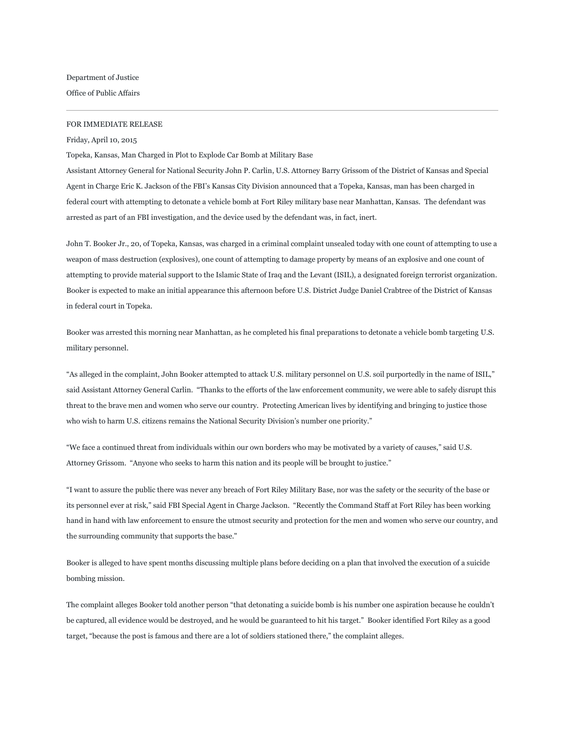Department of Justice Office of Public Affairs

## FOR IMMEDIATE RELEASE

Friday, April 10, 2015

Topeka, Kansas, Man Charged in Plot to Explode Car Bomb at Military Base

Assistant Attorney General for National Security John P. Carlin, U.S. Attorney Barry Grissom of the District of Kansas and Special Agent in Charge Eric K. Jackson of the FBI's Kansas City Division announced that a Topeka, Kansas, man has been charged in federal court with attempting to detonate a vehicle bomb at Fort Riley military base near Manhattan, Kansas. The defendant was arrested as part of an FBI investigation, and the device used by the defendant was, in fact, inert.

John T. Booker Jr., 20, of Topeka, Kansas, was charged in a criminal complaint unsealed today with one count of attempting to use a weapon of mass destruction (explosives), one count of attempting to damage property by means of an explosive and one count of attempting to provide material support to the Islamic State of Iraq and the Levant (ISIL), a designated foreign terrorist organization. Booker is expected to make an initial appearance this afternoon before U.S. District Judge Daniel Crabtree of the District of Kansas in federal court in Topeka.

Booker was arrested this morning near Manhattan, as he completed his final preparations to detonate a vehicle bomb targeting U.S. military personnel.

"As alleged in the complaint, John Booker attempted to attack U.S. military personnel on U.S. soil purportedly in the name of ISIL," said Assistant Attorney General Carlin. "Thanks to the efforts of the law enforcement community, we were able to safely disrupt this threat to the brave men and women who serve our country. Protecting American lives by identifying and bringing to justice those who wish to harm U.S. citizens remains the National Security Division's number one priority."

"We face a continued threat from individuals within our own borders who may be motivated by a variety of causes," said U.S. Attorney Grissom. "Anyone who seeks to harm this nation and its people will be brought to justice."

"I want to assure the public there was never any breach of Fort Riley Military Base, nor was the safety or the security of the base or its personnel ever at risk," said FBI Special Agent in Charge Jackson. "Recently the Command Staff at Fort Riley has been working hand in hand with law enforcement to ensure the utmost security and protection for the men and women who serve our country, and the surrounding community that supports the base."

Booker is alleged to have spent months discussing multiple plans before deciding on a plan that involved the execution of a suicide bombing mission.

The complaint alleges Booker told another person "that detonating a suicide bomb is his number one aspiration because he couldn't be captured, all evidence would be destroyed, and he would be guaranteed to hit his target." Booker identified Fort Riley as a good target, "because the post is famous and there are a lot of soldiers stationed there," the complaint alleges.